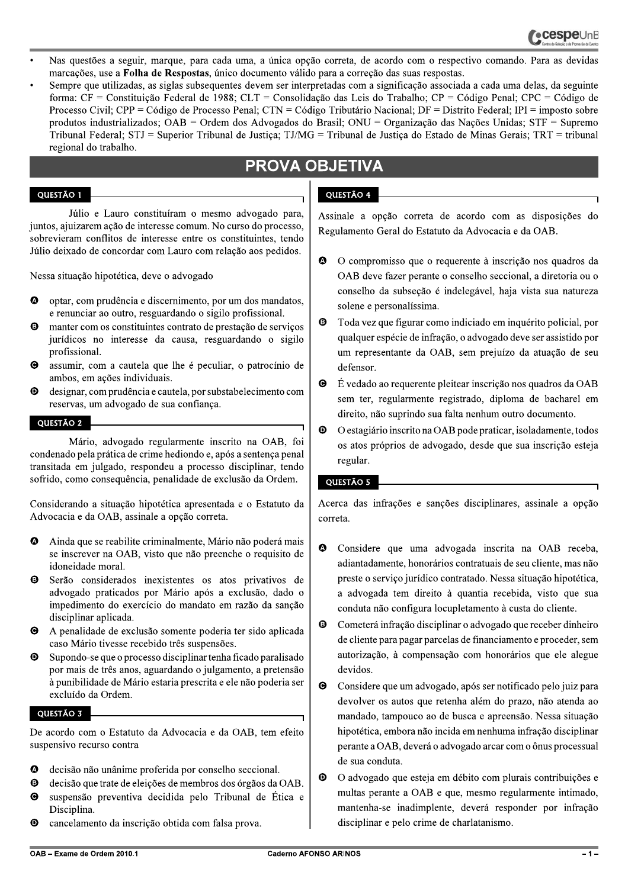- Nas questões a seguir, marque, para cada uma, a única opção correta, de acordo com o respectivo comando. Para as devidas marcações, use a Folha de Respostas, único documento válido para a correção das suas respostas.
- Sempre que utilizadas, as siglas subsequentes devem ser interpretadas com a significação associada a cada uma delas, da seguinte forma: CF = Constituição Federal de 1988; CLT = Consolidação das Leis do Trabalho; CP = Código Penal; CPC = Código de Processo Civil; CPP = Código de Processo Penal; CTN = Código Tributário Nacional; DF = Distrito Federal; IPI = imposto sobre produtos industrializados; OAB = Ordem dos Advogados do Brasil; ONU = Organização das Nações Unidas; STF = Supremo Tribunal Federal; STJ = Superior Tribunal de Justica; TJ/MG = Tribunal de Justica do Estado de Minas Gerais; TRT = tribunal regional do trabalho.

# **PROVA OBJETIVA**

┑

# QUESTÃO 1

Júlio e Lauro constituíram o mesmo advogado para, juntos, ajuizarem ação de interesse comum. No curso do processo, sobrevieram conflitos de interesse entre os constituintes, tendo Júlio deixado de concordar com Lauro com relação aos pedidos.

Nessa situação hipotética, deve o advogado

- optar, com prudência e discernimento, por um dos mandatos,  $\bullet$ e renunciar ao outro, resguardando o sigilo profissional.
- manter com os constituintes contrato de prestação de serviços A jurídicos no interesse da causa, resguardando o sigilo profissional.
- assumir, com a cautela que lhe é peculiar, o patrocínio de  $\boldsymbol{\Theta}$ ambos, em ações individuais.
- designar, com prudência e cautela, por substabelecimento com  $\bf \Theta$ reservas, um advogado de sua confiança.

#### QUESTÃO 2

Mário, advogado regularmente inscrito na OAB, foi condenado pela prática de crime hediondo e, após a sentença penal transitada em julgado, respondeu a processo disciplinar, tendo sofrido, como consequência, penalidade de exclusão da Ordem.

Considerando a situação hipotética apresentada e o Estatuto da Advocacia e da OAB, assinale a opção correta.

- $\boldsymbol{\Omega}$ Ainda que se reabilite criminalmente, Mário não poderá mais se inscrever na OAB, visto que não preenche o requisito de idoneidade moral.
- $\boldsymbol{\Theta}$ Serão considerados inexistentes os atos privativos de advogado praticados por Mário após a exclusão, dado o impedimento do exercício do mandato em razão da sanção disciplinar aplicada.
- $\ddot{\boldsymbol{\Theta}}$ A penalidade de exclusão somente poderia ter sido aplicada caso Mário tivesse recebido três suspensões.
- Supondo-se que o processo disciplinar tenha ficado paralisado  $\bf{O}$ por mais de três anos, aguardando o julgamento, a pretensão à punibilidade de Mário estaria prescrita e ele não poderia ser excluído da Ordem.

#### QUESTÃO 3

De acordo com o Estatuto da Advocacia e da OAB, tem efeito suspensivo recurso contra

- $\bullet$ decisão não unânime proferida por conselho seccional.
- $\boldsymbol{\Theta}$ decisão que trate de eleições de membros dos órgãos da OAB.
- $\bullet$ suspensão preventiva decidida pelo Tribunal de Ética e Disciplina.
- $\boldsymbol{\Theta}$ cancelamento da inscrição obtida com falsa prova.

# QUESTÃO 4

Assinale a opção correta de acordo com as disposições do Regulamento Geral do Estatuto da Advocacia e da OAB.

- $\Omega$ O compromisso que o requerente à inscrição nos quadros da OAB deve fazer perante o conselho seccional, a diretoria ou o conselho da subseção é indelegável, haja vista sua natureza solene e personalíssima.
- $\odot$ Toda vez que figurar como indiciado em inquérito policial, por qualquer espécie de infração, o advogado deve ser assistido por um representante da OAB, sem prejuízo da atuação de seu defensor.
- $\bullet$ É vedado ao requerente pleitear inscrição nos quadros da OAB sem ter, regularmente registrado, diploma de bacharel em direito, não suprindo sua falta nenhum outro documento.
- $\mathbf \Phi$ O estagiário inscrito na OAB pode praticar, isoladamente, todos os atos próprios de advogado, desde que sua inscrição esteja regular.

## QUESTÃO 5

Acerca das infrações e sanções disciplinares, assinale a opção correta.

- $\bullet$ Considere que uma advogada inscrita na OAB receba, adiantadamente, honorários contratuais de seu cliente, mas não preste o serviço jurídico contratado. Nessa situação hipotética, a advogada tem direito à quantia recebida, visto que sua conduta não configura locupletamento à custa do cliente.
- $\boldsymbol{\Theta}$ Cometerá infração disciplinar o advogado que receber dinheiro de cliente para pagar parcelas de financiamento e proceder, sem autorização, à compensação com honorários que ele alegue devidos.
- $\boldsymbol{\Theta}$ Considere que um advogado, após ser notificado pelo juiz para devolver os autos que retenha além do prazo, não atenda ao mandado, tampouco ao de busca e apreensão. Nessa situação hipotética, embora não incida em nenhuma infração disciplinar perante a OAB, deverá o advogado arcar com o ônus processual de sua conduta.
- $\bf \Theta$ O advogado que esteja em débito com plurais contribuições e multas perante a OAB e que, mesmo regularmente intimado, mantenha-se inadimplente, deverá responder por infração disciplinar e pelo crime de charlatanismo.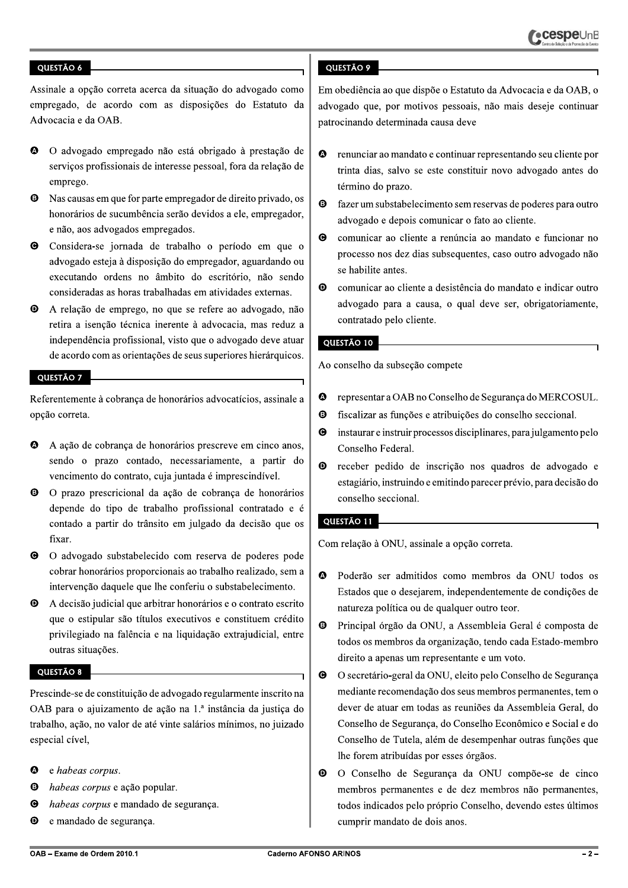Assinale a opção correta acerca da situação do advogado como empregado, de acordo com as disposições do Estatuto da Advocacia e da OAB.

- $\bullet$ O advogado empregado não está obrigado à prestação de serviços profissionais de interesse pessoal, fora da relação de emprego.
- Nas causas em que for parte empregador de direito privado, os Θ honorários de sucumbência serão devidos a ele, empregador, e não, aos advogados empregados.
- Considera-se jornada de trabalho o período em que o  $\boldsymbol{\Theta}$ advogado esteja à disposição do empregador, aguardando ou executando ordens no âmbito do escritório, não sendo consideradas as horas trabalhadas em atividades externas.
- $\boldsymbol{\Theta}$ A relação de emprego, no que se refere ao advogado, não retira a isenção técnica inerente à advocacia, mas reduz a independência profissional, visto que o advogado deve atuar de acordo com as orientações de seus superiores hierárquicos.

#### QUESTÃO 7

Referentemente à cobrança de honorários advocatícios, assinale a opcão correta.

- A ação de cobrança de honorários prescreve em cinco anos,  $\boldsymbol{\Omega}$ sendo o prazo contado, necessariamente, a partir do vencimento do contrato, cuja juntada é imprescindível.
- $\boldsymbol{\Theta}$ O prazo prescricional da ação de cobrança de honorários depende do tipo de trabalho profissional contratado e é contado a partir do trânsito em julgado da decisão que os fixar.
- $\boldsymbol{\Theta}$ O advogado substabelecido com reserva de poderes pode cobrar honorários proporcionais ao trabalho realizado, sem a intervenção daquele que lhe conferiu o substabelecimento.
- $\boldsymbol{\Theta}$ A decisão judicial que arbitrar honorários e o contrato escrito que o estipular são títulos executivos e constituem crédito privilegiado na falência e na liquidação extrajudicial, entre outras situações.

## QUESTÃO 8

Prescinde-se de constituição de advogado regularmente inscrito na OAB para o ajuizamento de ação na 1.ª instância da justiça do trabalho, ação, no valor de até vinte salários mínimos, no juizado especial cível,

- $\bullet$ e habeas corpus.
- $\boldsymbol{\Theta}$ habeas corpus e ação popular.
- $\boldsymbol{\Theta}$ habeas corpus e mandado de segurança.
- $\boldsymbol{\Theta}$ e mandado de segurança.

# **QUESTÃO 9**

Em obediência ao que dispõe o Estatuto da Advocacia e da OAB, o advogado que, por motivos pessoais, não mais deseje continuar patrocinando determinada causa deve

- Q renunciar ao mandato e continuar representando seu cliente por trinta dias, salvo se este constituir novo advogado antes do término do prazo.
- $\odot$ fazer um substabelecimento sem reservas de poderes para outro advogado e depois comunicar o fato ao cliente.
- $\bullet$ comunicar ao cliente a renúncia ao mandato e funcionar no processo nos dez dias subsequentes, caso outro advogado não se habilite antes.
- comunicar ao cliente a desistência do mandato e indicar outro ൈ advogado para a causa, o qual deve ser, obrigatoriamente, contratado pelo cliente.

# QUESTÃO 10

Ao conselho da subseção compete

- representar a OAB no Conselho de Segurança do MERCOSUL.  $\bullet$
- $\odot$ fiscalizar as funções e atribuições do conselho seccional.
- $\bullet$ instaurar e instruir processos disciplinares, para julgamento pelo Conselho Federal.
- $\boldsymbol{\Theta}$ receber pedido de inscrição nos quadros de advogado e estagiário, instruindo e emitindo parecer prévio, para decisão do conselho seccional.

# QUESTÃO 11

Com relação à ONU, assinale a opção correta.

- Poderão ser admitidos como membros da ONU todos os  $\bullet$ Estados que o desejarem, independentemente de condições de natureza política ou de qualquer outro teor.
- $\boldsymbol{\Theta}$ Principal órgão da ONU, a Assembleia Geral é composta de todos os membros da organização, tendo cada Estado-membro direito a apenas um representante e um voto.
- $\Theta$ O secretário-geral da ONU, eleito pelo Conselho de Segurança mediante recomendação dos seus membros permanentes, tem o dever de atuar em todas as reuniões da Assembleia Geral, do Conselho de Segurança, do Conselho Econômico e Social e do Conselho de Tutela, além de desempenhar outras funções que lhe forem atribuídas por esses órgãos.
- $\bf \Theta$ O Conselho de Segurança da ONU compõe-se de cinco membros permanentes e de dez membros não permanentes, todos indicados pelo próprio Conselho, devendo estes últimos cumprir mandato de dois anos.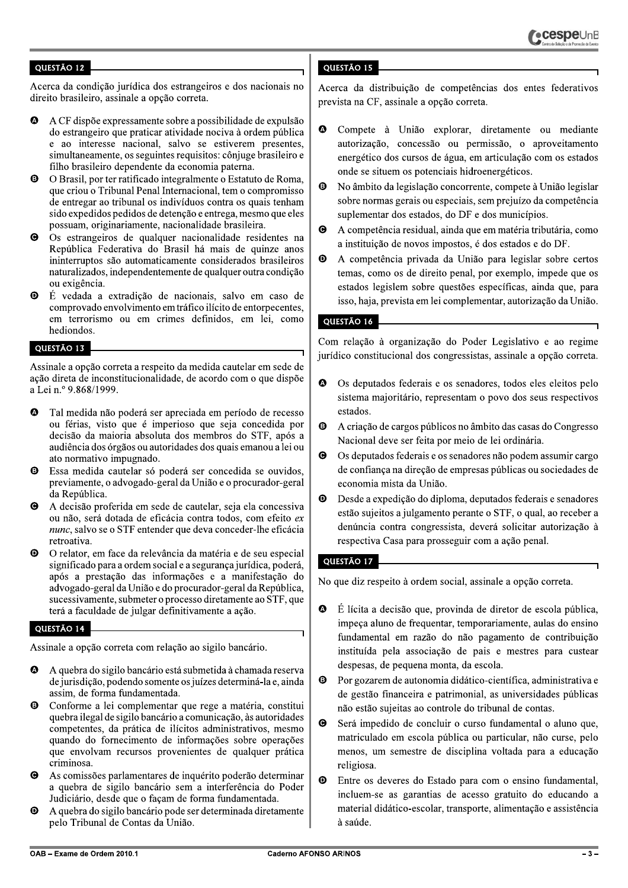Acerca da condição jurídica dos estrangeiros e dos nacionais no direito brasileiro, assinale a opção correta.

- A CF dispõe expressamente sobre a possibilidade de expulsão  $\boldsymbol{\Omega}$ do estrangeiro que praticar atividade nociva à ordem pública e ao interesse nacional, salvo se estiverem presentes, simultaneamente, os seguintes requisitos: cônjuge brasileiro e filho brasileiro dependente da economia paterna.
- $\boldsymbol{\Theta}$ O Brasil, por ter ratificado integralmente o Estatuto de Roma, que criou o Tribunal Penal Internacional, tem o compromisso de entregar ao tribunal os indivíduos contra os quais tenham sido expedidos pedidos de detenção e entrega, mesmo que eles possuam, originariamente, nacionalidade brasileira.
- $\Omega$ Os estrangeiros de qualquer nacionalidade residentes na República Federativa do Brasil há mais de quinze anos ininterruptos são automaticamente considerados brasileiros naturalizados, independentemente de qualquer outra condição ou exigência.
- $\boldsymbol{\Theta}$ É vedada a extradição de nacionais, salvo em caso de comprovado envolvimento em tráfico ilícito de entorpecentes, em terrorismo ou em crimes definidos, em lei, como hediondos.

# QUESTÃO 13

Assinale a opção correta a respeito da medida cautelar em sede de ação direta de inconstitucionalidade, de acordo com o que dispõe a Lei n.º 9.868/1999.

- Tal medida não poderá ser apreciada em período de recesso  $\boldsymbol{\Omega}$ ou férias, visto que é imperioso que seja concedida por decisão da maioria absoluta dos membros do STF, após a audiência dos órgãos ou autoridades dos quais emanou a lei ou ato normativo impugnado.
- $\ddot{\mathbf{e}}$ Essa medida cautelar só poderá ser concedida se ouvidos. previamente, o advogado-geral da União e o procurador-geral da República.
- $\boldsymbol{\Theta}$ A decisão proferida em sede de cautelar, seja ela concessiva ou não, será dotada de eficácia contra todos, com efeito ex nunc, salvo se o STF entender que deva conceder-lhe eficácia retroativa.
- ക O relator, em face da relevância da matéria e de seu especial significado para a ordem social e a segurança jurídica, poderá, após a prestação das informações e a manifestação do advogado-geral da União e do procurador-geral da República, sucessivamente, submeter o processo diretamente ao STF, que terá a faculdade de julgar definitivamente a ação.

# QUESTÃO 14

Assinale a opção correta com relação ao sigilo bancário.

- $\bullet$ A quebra do sigilo bancário está submetida à chamada reserva de jurisdição, podendo somente os juízes determiná-la e, ainda assim, de forma fundamentada.
- Conforme a lei complementar que rege a matéria, constitui Θ quebra ilegal de sigilo bancário a comunicação, às autoridades competentes, da prática de ilícitos administrativos, mesmo quando do fornecimento de informações sobre operações que envolvam recursos provenientes de qualquer prática criminosa.
- $\boldsymbol{\Theta}$ As comissões parlamentares de inquérito poderão determinar a quebra de sigilo bancário sem a interferência do Poder Judiciário, desde que o façam de forma fundamentada.
- $\bf \Theta$ A quebra do sigilo bancário pode ser determinada diretamente pelo Tribunal de Contas da União.

# QUESTÃO 15

Acerca da distribuição de competências dos entes federativos prevista na CF, assinale a opção correta.

- $\bullet$ Compete à União explorar, diretamente ou mediante autorização, concessão ou permissão, o aproveitamento energético dos cursos de água, em articulação com os estados onde se situem os potenciais hidroenergéticos.
- $\boldsymbol{\Theta}$ No âmbito da legislação concorrente, compete à União legislar sobre normas gerais ou especiais, sem prejuízo da competência suplementar dos estados, do DF e dos municípios.
- $\bullet$ A competência residual, ainda que em matéria tributária, como a instituição de novos impostos, é dos estados e do DF.
- $\boldsymbol{\Theta}$ A competência privada da União para legislar sobre certos temas, como os de direito penal, por exemplo, impede que os estados legislem sobre questões específicas, ainda que, para isso, haja, prevista em lei complementar, autorização da União.

# QUESTÃO 16

Com relação à organização do Poder Legislativo e ao regime jurídico constitucional dos congressistas, assinale a opção correta.

- $\bullet$ Os deputados federais e os senadores, todos eles eleitos pelo sistema majoritário, representam o povo dos seus respectivos estados.
- A criação de cargos públicos no âmbito das casas do Congresso  $\boldsymbol{\Theta}$ Nacional deve ser feita por meio de lei ordinária.
- $\bullet$ Os deputados federais e os senadores não podem assumir cargo de confiança na direção de empresas públicas ou sociedades de economia mista da União.
- $\boldsymbol{\Theta}$ Desde a expedição do diploma, deputados federais e senadores estão sujeitos a julgamento perante o STF, o qual, ao receber a denúncia contra congressista, deverá solicitar autorização à respectiva Casa para prosseguir com a ação penal.

# **OUESTÃO 17**

No que diz respeito à ordem social, assinale a opção correta.

- É lícita a decisão que, provinda de diretor de escola pública,  $\boldsymbol{\Omega}$ impeça aluno de frequentar, temporariamente, aulas do ensino fundamental em razão do não pagamento de contribuição instituída pela associação de pais e mestres para custear despesas, de pequena monta, da escola.
- $\odot$ Por gozarem de autonomia didático-científica, administrativa e de gestão financeira e patrimonial, as universidades públicas não estão sujeitas ao controle do tribunal de contas.
- $\boldsymbol{\Theta}$ Será impedido de concluir o curso fundamental o aluno que, matriculado em escola pública ou particular, não curse, pelo menos, um semestre de disciplina voltada para a educação religiosa.
- $\boldsymbol{\Theta}$ Entre os deveres do Estado para com o ensino fundamental. incluem-se as garantias de acesso gratuito do educando a material didático-escolar, transporte, alimentação e assistência à saúde.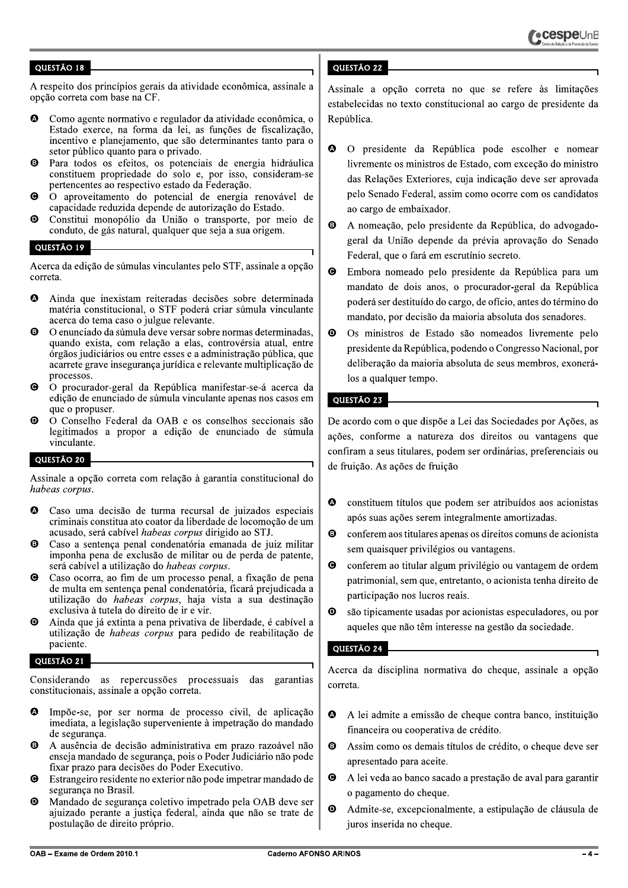# **OUESTÃO 18**

A respeito dos princípios gerais da atividade econômica, assinale a opção correta com base na CF.

- Como agente normativo e regulador da atividade econômica, o Ω Estado exerce, na forma da lei, as funções de fiscalização, incentivo e planejamento, que são determinantes tanto para o setor público quanto para o privado.
- $\boldsymbol{\Theta}$ Para todos os efeitos, os potenciais de energia hidráulica constituem propriedade do solo e, por isso, consideram-se pertencentes ao respectivo estado da Federação.
- O aproveitamento do potencial de energia renovável de ൙ capacidade reduzida depende de autorização do Estado.
- Constitui monopólio da União o transporte, por meio de  $\bf{O}$ conduto, de gás natural, qualquer que seja a sua origem.

#### QUESTÃO 19

Acerca da edição de súmulas vinculantes pelo STF, assinale a opção correta.

- Ø Ainda que inexistam reiteradas decisões sobre determinada matéria constitucional, o STF poderá criar súmula vinculante acerca do tema caso o julgue relevante.
- $\Omega$ O enunciado da súmula deve versar sobre normas determinadas. quando exista, com relação a elas, controvérsia atual, entre órgãos judiciários ou entre esses e a administração pública, que acarrete grave insegurança jurídica e relevante multiplicação de processos.
- $\boldsymbol{\Theta}$ O procurador-geral da República manifestar-se-á acerca da edição de enunciado de súmula vinculante apenas nos casos em que o propuser.
- O Conselho Federal da OAB e os conselhos seccionais são ര legitimados a propor a edição de enunciado de súmula vinculante.

## QUESTÃO 20

Assinale a opção correta com relação à garantia constitucional do habeas corpus.

- Caso uma decisão de turma recursal de juizados especiais  $\boldsymbol{\Omega}$ criminais constitua ato coator da liberdade de locomoção de um acusado, será cabível habeas corpus dirigido ao STJ.
- Caso a sentença penal condenatória emanada de juiz militar A imponha pena de exclusão de militar ou de perda de patente, será cabível a utilização do habeas corpus.
- Caso ocorra, ao fim de um processo penal, a fixação de pena ⋒ de multa em sentença penal condenatória, ficará prejudicada a utilização do habeas corpus, haja vista a sua destinação exclusiva à tutela do direito de ir e vir.
- Ainda que já extinta a pena privativa de liberdade, é cabível a ക utilização de *habeas corpus* para pedido de reabilitação de paciente.

#### QUESTÃO 21

Considerando as repercussões processuais das garantias constitucionais, assinale a opção correta.

- $\boldsymbol{\Omega}$ Impõe-se, por ser norma de processo civil, de aplicação imediata, a legislação superveniente à impetração do mandado de segurança.
- $\boldsymbol{\Theta}$ A ausência de decisão administrativa em prazo razoável não enseja mandado de segurança, pois o Poder Judiciário não pode fixar prazo para decisões do Poder Executivo.
- ര Estrangeiro residente no exterior não pode impetrar mandado de segurança no Brasil.
- $\bf{O}$ Mandado de segurança coletivo impetrado pela OAB deve ser ajuizado perante a justiça federal, ainda que não se trate de postulação de direito próprio.

## QUESTÃO 22

Assinale a opção correta no que se refere às limitações estabelecidas no texto constitucional ao cargo de presidente da República.

- $\boldsymbol{\Omega}$ O presidente da República pode escolher e nomear livremente os ministros de Estado, com exceção do ministro das Relações Exteriores, cuja indicação deve ser aprovada pelo Senado Federal, assim como ocorre com os candidatos ao cargo de embaixador.
- $\ddot{\bm{\Theta}}$ A nomeação, pelo presidente da República, do advogadogeral da União depende da prévia aprovação do Senado Federal, que o fará em escrutínio secreto.
- $\boldsymbol{\Theta}$ Embora nomeado pelo presidente da República para um mandato de dois anos, o procurador-geral da República poderá ser destituído do cargo, de ofício, antes do término do mandato, por decisão da maioria absoluta dos senadores.
- ക Os ministros de Estado são nomeados livremente pelo presidente da República, podendo o Congresso Nacional, por deliberação da maioria absoluta de seus membros, exonerálos a qualquer tempo.

## QUESTÃO 23

De acordo com o que dispõe a Lei das Sociedades por Ações, as ações, conforme a natureza dos direitos ou vantagens que confiram a seus titulares, podem ser ordinárias, preferenciais ou de fruição. As ações de fruição

- $\boldsymbol{\Omega}$ constituem títulos que podem ser atribuídos aos acionistas após suas ações serem integralmente amortizadas.
- $\boldsymbol{\Theta}$ conferem aos titulares apenas os direitos comuns de acionista sem quaisquer privilégios ou vantagens.
- $\boldsymbol{\Theta}$ conferem ao titular algum privilégio ou vantagem de ordem patrimonial, sem que, entretanto, o acionista tenha direito de participação nos lucros reais.
- $\bf \Theta$ são tipicamente usadas por acionistas especuladores, ou por aqueles que não têm interesse na gestão da sociedade.

## QUESTÃO 24

Acerca da disciplina normativa do cheque, assinale a opção correta.

- $\bullet$ A lei admite a emissão de cheque contra banco, instituição financeira ou cooperativa de crédito.
- $\boldsymbol{\Theta}$ Assim como os demais títulos de crédito, o cheque deve ser apresentado para aceite.
- $\boldsymbol{\Theta}$ A lei veda ao banco sacado a prestação de aval para garantir o pagamento do cheque.
- $\boldsymbol{\Theta}$ Admite-se, excepcionalmente, a estipulação de cláusula de juros inserida no cheque.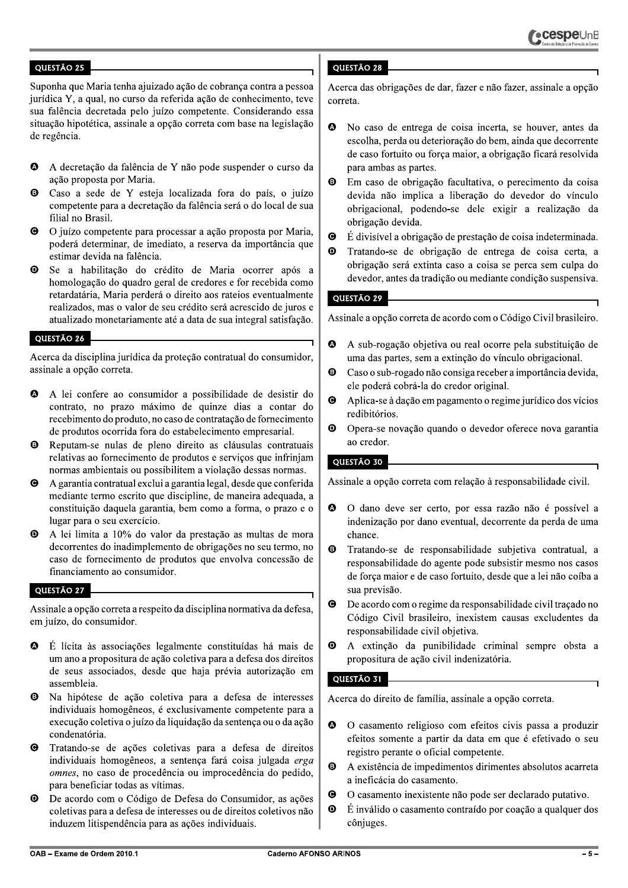Suponha que Maria tenha ajuizado ação de cobrança contra a pessoa jurídica Y, a qual, no curso da referida ação de conhecimento, teve sua falência decretada pelo juízo competente. Considerando essa situação hipotética, assinale a opção correta com base na legislação de regência.

- A decretação da falência de Y não pode suspender o curso da  $\bullet$ ação proposta por Maria.
- Caso a sede de Y esteja localizada fora do país, o juízo A competente para a decretação da falência será o do local de sua filial no Brasil.
- ൙ O juízo competente para processar a ação proposta por Maria, poderá determinar, de imediato, a reserva da importância que estimar devida na falência.
- $\mathbf 0$ Se a habilitação do crédito de Maria ocorrer após a homologação do quadro geral de credores e for recebida como retardatária, Maria perderá o direito aos rateios eventualmente realizados, mas o valor de seu crédito será acrescido de juros e atualizado monetariamente até a data de sua integral satisfação.

## QUESTÃO 26

Acerca da disciplina jurídica da proteção contratual do consumidor, assinale a opção correta.

- A lei confere ao consumidor a possibilidade de desistir do  $\bf{O}$ contrato, no prazo máximo de quinze dias a contar do recebimento do produto, no caso de contratação de fornecimento de produtos ocorrida fora do estabelecimento empresarial.
- $\boldsymbol{\Theta}$ Reputam-se nulas de pleno direito as cláusulas contratuais relativas ao fornecimento de produtos e serviços que infrinjam normas ambientais ou possibilitem a violação dessas normas.
- A garantia contratual exclui a garantia legal, desde que conferida  $\Theta$ mediante termo escrito que discipline, de maneira adequada, a constituição daquela garantia, bem como a forma, o prazo e o lugar para o seu exercício.
- $\boldsymbol{\Omega}$ A lei limita a 10% do valor da prestação as multas de mora decorrentes do inadimplemento de obrigações no seu termo, no caso de fornecimento de produtos que envolva concessão de financiamento ao consumidor.

#### QUESTÃO 27

Assinale a opção correta a respeito da disciplina normativa da defesa, em juízo, do consumidor.

- É lícita às associações legalmente constituídas há mais de  $\boldsymbol{\Omega}$ um ano a propositura de ação coletiva para a defesa dos direitos de seus associados, desde que haja prévia autorização em assembleia.
- $\boldsymbol{\Theta}$ Na hipótese de ação coletiva para a defesa de interesses individuais homogêneos, é exclusivamente competente para a execução coletiva o juízo da liquidação da sentença ou o da ação condenatória.
- $\Omega$ Tratando-se de ações coletivas para a defesa de direitos individuais homogêneos, a sentença fará coisa julgada erga *omnes*, no caso de procedência ou improcedência do pedido. para beneficiar todas as vítimas.
- $\boldsymbol{\omega}$ De acordo com o Código de Defesa do Consumidor, as ações coletivas para a defesa de interesses ou de direitos coletivos não induzem litispendência para as ações individuais.

# QUESTÃO 28

Acerca das obrigações de dar, fazer e não fazer, assinale a opção correta.

- $\boldsymbol{\Omega}$ No caso de entrega de coisa incerta, se houver, antes da escolha, perda ou deterioração do bem, ainda que decorrente de caso fortuito ou força maior, a obrigação ficará resolvida para ambas as partes.
- A Em caso de obrigação facultativa, o perecimento da coisa devida não implica a liberação do devedor do vínculo obrigacional, podendo-se dele exigir a realização da obrigação devida.
- $\ddot{\mathbf{e}}$ É divisível a obrigação de prestação de coisa indeterminada.
- $\Omega$ Tratando-se de obrigação de entrega de coisa certa, a obrigação será extinta caso a coisa se perca sem culpa do devedor, antes da tradição ou mediante condição suspensiva.

# QUESTÃO 29

Assinale a opção correta de acordo com o Código Civil brasileiro.

- $\boldsymbol{\Omega}$ A sub-rogação objetiva ou real ocorre pela substituição de uma das partes, sem a extinção do vínculo obrigacional.
- Θ Caso o sub-rogado não consiga receber a importância devida, ele poderá cobrá-la do credor original.
- $\boldsymbol{\Theta}$ Aplica-se à dação em pagamento o regime jurídico dos vícios redibitórios.
- ൈ Opera-se novação quando o devedor oferece nova garantia ao credor.

# QUESTÃO 30

Assinale a opção correta com relação à responsabilidade civil.

- $\boldsymbol{\Omega}$ O dano deve ser certo, por essa razão não é possível a indenização por dano eventual, decorrente da perda de uma chance.
- $\ddot{\mathbf{e}}$ Tratando-se de responsabilidade subjetiva contratual, a responsabilidade do agente pode subsistir mesmo nos casos de força maior e de caso fortuito, desde que a lei não coíba a sua previsão.
- $\ddot{\mathbf{e}}$ De acordo com o regime da responsabilidade civil traçado no Código Civil brasileiro, inexistem causas excludentes da responsabilidade civil objetiva.
- $\bf{0}$ A extinção da punibilidade criminal sempre obsta a propositura de ação civil indenizatória.

# QUESTÃO 31

Acerca do direito de família, assinale a opção correta.

- $\bullet$ O casamento religioso com efeitos civis passa a produzir efeitos somente a partir da data em que é efetivado o seu registro perante o oficial competente.
- $\ddot{\mathbf{e}}$ A existência de impedimentos dirimentes absolutos acarreta a ineficácia do casamento.
- $\boldsymbol{\Theta}$ O casamento inexistente não pode ser declarado putativo.
- $\boldsymbol{\Theta}$ É inválido o casamento contraído por coação a qualquer dos cônjuges.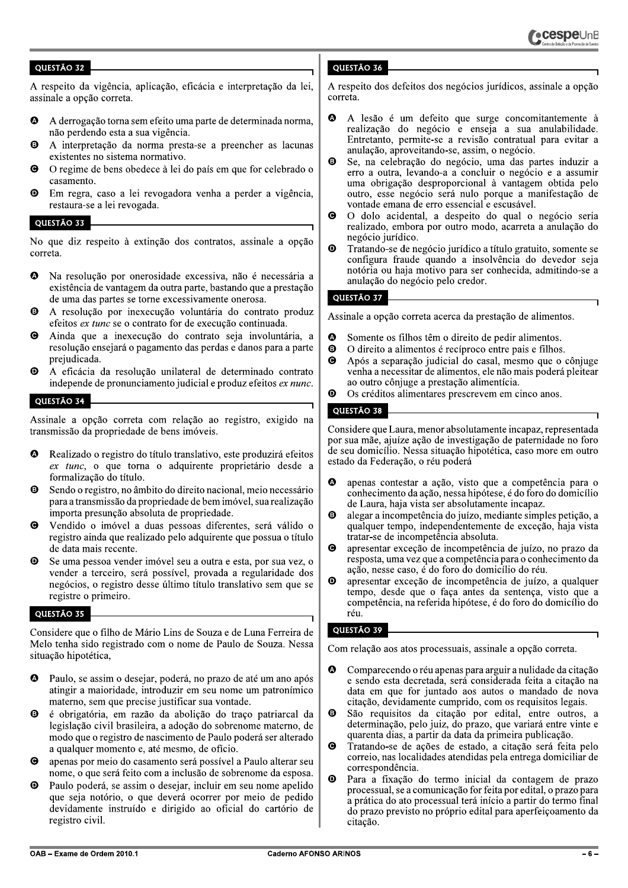A respeito da vigência, aplicação, eficácia e interpretação da lei, assinale a opção correta.

- $\boldsymbol{\Omega}$ A derrogação torna sem efeito uma parte de determinada norma, não perdendo esta a sua vigência.
- $\odot$ A interpretação da norma presta-se a preencher as lacunas existentes no sistema normativo.
- $\boldsymbol{\Theta}$ O regime de bens obedece à lei do país em que for celebrado o casamento.
- $\bf{O}$ Em regra, caso a lei revogadora venha a perder a vigência, restaura-se a lei revogada.

#### QUESTÃO 33

No que diz respeito à extinção dos contratos, assinale a opção correta

- $\boldsymbol{\Omega}$ Na resolução por onerosidade excessiva, não é necessária a existência de vantagem da outra parte, bastando que a prestação de uma das partes se torne excessivamente onerosa.
- A A resolução por inexecução voluntária do contrato produz efeitos ex tunc se o contrato for de execução continuada.
- ര Ainda que a inexecução do contrato seja involuntária, a resolução ensejará o pagamento das perdas e danos para a parte prejudicada.
- ക A eficácia da resolução unilateral de determinado contrato independe de pronunciamento judicial e produz efeitos ex nunc.

#### QUESTÃO 34

Assinale a opção correta com relação ao registro, exigido na transmissão da propriedade de bens imóveis.

- Ω Realizado o registro do título translativo, este produzirá efeitos ex tunc, o que torna o adquirente proprietário desde a formalização do título.
- Θ Sendo o registro, no âmbito do direito nacional, meio necessário para a transmissão da propriedade de bem imóvel, sua realização importa presunção absoluta de propriedade.
- ര Vendido o imóvel a duas pessoas diferentes, será válido o registro ainda que realizado pelo adquirente que possua o título de data mais recente.
- $\boldsymbol{\Theta}$ Se uma pessoa vender imóvel seu a outra e esta, por sua vez, o vender a terceiro, será possível, provada a regularidade dos negócios, o registro desse último título translativo sem que se registre o primeiro.

#### QUESTÃO 35

Considere que o filho de Mário Lins de Souza e de Luna Ferreira de Melo tenha sido registrado com o nome de Paulo de Souza. Nessa situação hipotética,

- $\boldsymbol{\Omega}$ Paulo, se assim o desejar, poderá, no prazo de até um ano após atingir a majoridade, introduzir em seu nome um patronímico materno, sem que precise justificar sua vontade.
- $\Omega$ é obrigatória, em razão da abolição do traco patriarcal da legislação civil brasileira, a adoção do sobrenome materno, de modo que o registro de nascimento de Paulo poderá ser alterado a qualquer momento e, até mesmo, de ofício.
- ര apenas por meio do casamento será possível a Paulo alterar seu nome, o que será feito com a inclusão de sobrenome da esposa.
- $\boldsymbol{\Theta}$ Paulo poderá, se assim o desejar, incluir em seu nome apelido que seja notório, o que deverá ocorrer por meio de pedido devidamente instruído e dirigido ao oficial do cartório de registro civil.

## QUESTÃO 36

A respeito dos defeitos dos negócios jurídicos, assinale a opção correta.

- Ø A lesão é um defeito que surge concomitantemente à realização do negócio e enseja a sua anulabilidade. Entretanto, permite-se a revisão contratual para evitar a anulação, aproveitando-se, assim, o negócio.
- $\ddot{\mathbf{e}}$ Se, na celebração do negócio, uma das partes induzir a erro a outra, levando-a a concluir o negócio e a assumir uma obrigação desproporcional à vantagem obtida pelo outro, esse negócio será nulo porque a manifestação de vontade emana de erro essencial e escusável.
- $\boldsymbol{\Theta}$ O dolo acidental, a despeito do qual o negócio seria realizado, embora por outro modo, acarreta a anulação do negócio jurídico.
- ക Tratando-se de negócio jurídico a título gratuito, somente se configura fraude quando a insolvência do devedor seja notória ou haja motivo para ser conhecida, admitindo-se a anulação do negócio pelo credor.

#### QUESTÃO 37

Assinale a opção correta acerca da prestação de alimentos.

- $\bullet$ Somente os filhos têm o direito de pedir alimentos.
- $\odot$ O direito a alimentos é recíproco entre pais e filhos.
- ℮ Após a separação judicial do casal, mesmo que o cônjuge venha a necessitar de alimentos, ele não mais poderá pleitear ao outro cônjuge a prestação alimentícia.
- $\mathbf{O}$ Os créditos alimentares prescrevem em cinco anos.

## QUESTÃO 38

Considere que Laura, menor absolutamente incapaz, representada por sua mãe, ajuíze ação de investigação de paternidade no foro de seu domicílio. Nessa situação hipotética, caso more em outro estado da Federação, o réu poderá

- $\boldsymbol{\Omega}$ apenas contestar a ação, visto que a competência para o conhecimento da ação, nessa hipótese, é do foro do domicílio de Laura, haja vista ser absolutamente incapaz.
- Θ alegar a incompetência do juízo, mediante simples peticão, a qualquer tempo, independentemente de exceção, haja vista tratar-se de incompetência absoluta.
- $\ddot{\mathbf{e}}$ apresentar exceção de incompetência de juízo, no prazo da resposta, uma vez que a competência para o conhecimento da ação, nesse caso, é do foro do domicílio do réu.
- $\boldsymbol{\Theta}$ apresentar exceção de incompetência de juízo, a qualquer tempo, desde que o faça antes da sentença, visto que a competência, na referida hipótese, é do foro do domicílio do réu.

# QUESTÃO 39

Com relação aos atos processuais, assinale a opção correta.

- Comparecendo o réu apenas para arguir a nulidade da citação Ω e sendo esta decretada, será considerada feita a citação na data em que for juntado aos autos o mandado de nova citação, devidamente cumprido, com os requisitos legais.
- A São requisitos da citação por edital, entre outros, a determinação, pelo juiz, do prazo, que variará entre vinte e quarenta dias, a partir da data da primeira publicação.
- Tratando-se de ações de estado, a citação será feita pelo  $\boldsymbol{\Theta}$ correio, nas localidades atendidas pela entrega domiciliar de correspondência.
- Para a fixação do termo inicial da contagem de prazo processual, se a comunicação for feita por edital, o prazo para a prática do ato processual terá início a partir do termo final do prazo previsto no próprio edital para aperfeiçoamento da citação.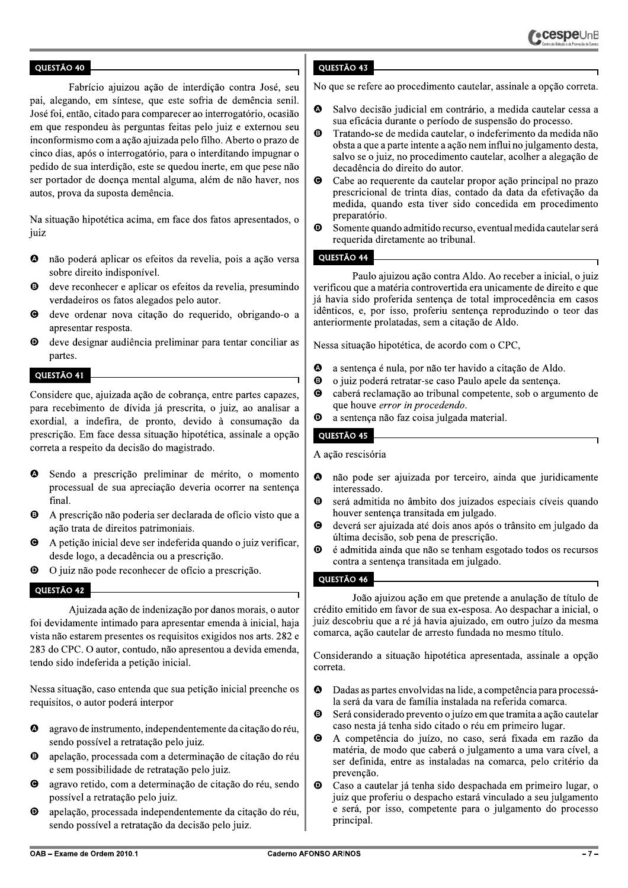Fabrício ajuizou ação de interdição contra José, seu pai, alegando, em síntese, que este sofria de demência senil. José foi, então, citado para comparecer ao interrogatório, ocasião em que respondeu às perguntas feitas pelo juiz e externou seu inconformismo com a ação ajuizada pelo filho. Aberto o prazo de cinco dias, após o interrogatório, para o interditando impugnar o pedido de sua interdição, este se quedou inerte, em que pese não ser portador de doença mental alguma, além de não haver, nos autos, prova da suposta demência.

Na situação hipotética acima, em face dos fatos apresentados, o juiz

- $\boldsymbol{\Omega}$ não poderá aplicar os efeitos da revelia, pois a ação versa sobre direito indisponível.
- deve reconhecer e aplicar os efeitos da revelia, presumindo A verdadeiros os fatos alegados pelo autor.
- ൙ deve ordenar nova citação do requerido, obrigando-o a apresentar resposta.
- $\bf \Theta$ deve designar audiência preliminar para tentar conciliar as partes.

## QUESTÃO 41

Considere que, ajuizada ação de cobrança, entre partes capazes, para recebimento de dívida já prescrita, o juiz, ao analisar a exordial, a indefira, de pronto, devido à consumação da prescrição. Em face dessa situação hipotética, assinale a opção correta a respeito da decisão do magistrado.

- $\bullet$ Sendo a prescrição preliminar de mérito, o momento processual de sua apreciação deveria ocorrer na sentença final.
- A A prescrição não poderia ser declarada de ofício visto que a ação trata de direitos patrimoniais.
- A petição inicial deve ser indeferida quando o juiz verificar, ُ⊕ desde logo, a decadência ou a prescrição.
- O juiz não pode reconhecer de ofício a prescrição. ൈ

#### QUESTÃO 42

Ajuizada ação de indenização por danos morais, o autor foi devidamente intimado para apresentar emenda à inicial, haja vista não estarem presentes os requisitos exigidos nos arts. 282 e 283 do CPC. O autor, contudo, não apresentou a devida emenda, tendo sido indeferida a petição inicial.

Nessa situação, caso entenda que sua petição inicial preenche os requisitos, o autor poderá interpor

- agravo de instrumento, independentemente da citação do réu,  $\bullet$ sendo possível a retratação pelo juiz.
- Θ apelação, processada com a determinação de citação do réu e sem possibilidade de retratação pelo juiz.
- ൙ agravo retido, com a determinação de citação do réu, sendo possível a retratação pelo juiz.
- $\boldsymbol{\Theta}$ apelação, processada independentemente da citação do réu, sendo possível a retratação da decisão pelo juiz.

## **OUESTÃO 43**

No que se refere ao procedimento cautelar, assinale a opção correta.

- Salvo decisão judicial em contrário, a medida cautelar cessa a sua eficácia durante o período de suspensão do processo.
- $\boldsymbol{\Theta}$ Tratando-se de medida cautelar, o indeferimento da medida não obsta a que a parte intente a ação nem influi no julgamento desta, salvo se o juiz, no procedimento cautelar, acolher a alegação de decadência do direito do autor.
- $\Omega$ Cabe ao requerente da cautelar propor ação principal no prazo prescricional de trinta dias, contado da data da efetivação da medida, quando esta tiver sido concedida em procedimento preparatório.
- ര Somente quando admitido recurso, eventual medida cautelar será requerida diretamente ao tribunal.

# QUESTÃO 44

Paulo ajuizou ação contra Aldo. Ao receber a inicial, o juiz verificou que a matéria controvertida era unicamente de direito e que iá havia sido proferida sentenca de total improcedência em casos idênticos, e, por isso, proferiu sentença reproduzindo o teor das anteriormente prolatadas, sem a citação de Aldo.

Nessa situação hipotética, de acordo com o CPC,

- $\bullet$ a sentença é nula, por não ter havido a citação de Aldo.
- $\boldsymbol{\Theta}$ o juiz poderá retratar-se caso Paulo apele da sentença.
- $\Theta$ caberá reclamação ao tribunal competente, sob o argumento de que houve error in procedendo.
- a sentença não faz coisa julgada material.

## QUESTÃO 45

A ação rescisória

- $\Omega$ não pode ser ajuizada por terceiro, ainda que juridicamente interessado.
- $\boldsymbol{\Theta}$ será admitida no âmbito dos juizados especiais cíveis quando houver sentença transitada em julgado.
- $\ddot{\boldsymbol{\Theta}}$ deverá ser ajuizada até dois anos após o trânsito em julgado da última decisão, sob pena de prescrição.
- $\mathbf 0$ é admitida ainda que não se tenham esgotado todos os recursos contra a sentença transitada em julgado.

# QUESTÃO 46

João ajuizou ação em que pretende a anulação de título de crédito emitido em favor de sua ex-esposa. Ao despachar a inicial, o juiz descobriu que a ré já havia ajuizado, em outro juízo da mesma comarca, ação cautelar de arresto fundada no mesmo título.

Considerando a situação hipotética apresentada, assinale a opção correta.

- $\boldsymbol{\Omega}$ Dadas as partes envolvidas na lide, a competência para processála será da vara de família instalada na referida comarca.
- A Será considerado prevento o juízo em que tramita a ação cautelar caso nesta já tenha sido citado o réu em primeiro lugar.
- $\boldsymbol{\Theta}$ A competência do juízo, no caso, será fixada em razão da matéria, de modo que caberá o julgamento a uma vara cível, a ser definida, entre as instaladas na comarca, pelo critério da prevenção.
- $\boldsymbol{\Theta}$ Caso a cautelar já tenha sido despachada em primeiro lugar, o juiz que proferiu o despacho estará vinculado a seu julgamento e será, por isso, competente para o julgamento do processo principal.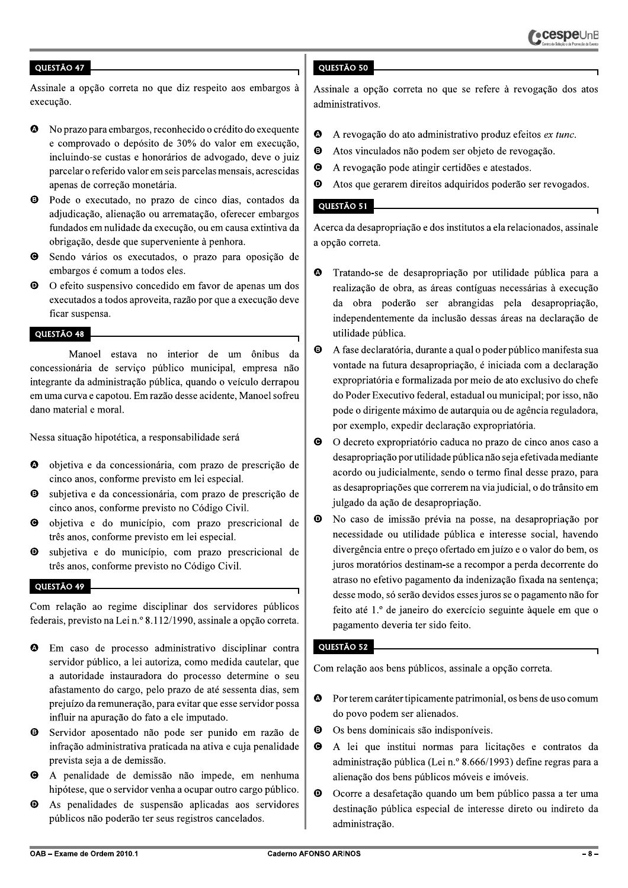Assinale a opção correta no que diz respeito aos embargos à execução.

- $\boldsymbol{\omega}$ No prazo para embargos, reconhecido o crédito do exequente e comprovado o depósito de 30% do valor em execução, incluindo-se custas e honorários de advogado, deve o juiz parcelar o referido valor em seis parcelas mensais, acrescidas apenas de correção monetária.
- $\boldsymbol{\Theta}$ Pode o executado, no prazo de cinco dias, contados da adjudicação, alienação ou arrematação, oferecer embargos fundados em nulidade da execução, ou em causa extintiva da obrigação, desde que superveniente à penhora.
- Sendo vários os executados, o prazo para oposição de  $\boldsymbol{\Theta}$ embargos é comum a todos eles.
- ക O efeito suspensivo concedido em favor de apenas um dos executados a todos aproveita, razão por que a execução deve ficar suspensa.

#### QUESTÃO 48

Manoel estava no interior de um ônibus da concessionária de servico público municipal, empresa não integrante da administração pública, quando o veículo derrapou em uma curva e capotou. Em razão desse acidente, Manoel sofreu dano material e moral.

Nessa situação hipotética, a responsabilidade será

- $\boldsymbol{\Omega}$ objetiva e da concessionária, com prazo de prescrição de cinco anos, conforme previsto em lei especial.
- ⊕ subjetiva e da concessionária, com prazo de prescrição de cinco anos, conforme previsto no Código Civil.
- objetiva e do município, com prazo prescricional de três anos, conforme previsto em lei especial.
- $\boldsymbol{\omega}$ subjetiva e do município, com prazo prescricional de três anos, conforme previsto no Código Civil.

#### QUESTÃO 49

Com relação ao regime disciplinar dos servidores públicos federais, previsto na Lei n.º 8.112/1990, assinale a opção correta.

- $\bf o$ Em caso de processo administrativo disciplinar contra servidor público, a lei autoriza, como medida cautelar, que a autoridade instauradora do processo determine o seu afastamento do cargo, pelo prazo de até sessenta dias, sem prejuízo da remuneração, para evitar que esse servidor possa influir na apuração do fato a ele imputado.
- $\Omega$ Servidor aposentado não pode ser punido em razão de infração administrativa praticada na ativa e cuia penalidade prevista seja a de demissão.
- $\bullet$ A penalidade de demissão não impede, em nenhuma hipótese, que o servidor venha a ocupar outro cargo público.
- $\bf \Theta$ As penalidades de suspensão aplicadas aos servidores públicos não poderão ter seus registros cancelados.

## QUESTÃO 50

Assinale a opção correta no que se refere à revogação dos atos administrativos.

- $\boldsymbol{\Omega}$ A revogação do ato administrativo produz efeitos ex tunc.
- $\odot$ Atos vinculados não podem ser objeto de revogação.
- $\ddot{\mathbf{e}}$ A revogação pode atingir certidões e atestados.
- Atos que gerarem direitos adquiridos poderão ser revogados.  $\mathbf 0$

## QUESTÃO 51

٦

Acerca da desapropriação e dos institutos a ela relacionados, assinale a opção correta.

- $\boldsymbol{\Omega}$ Tratando-se de desapropriação por utilidade pública para a realização de obra, as áreas contíguas necessárias à execução da obra poderão ser abrangidas pela desapropriação, independentemente da inclusão dessas áreas na declaração de utilidade pública.
- A fase declaratória, durante a qual o poder público manifesta sua ⊕ vontade na futura desapropriação, é iniciada com a declaração expropriatória e formalizada por meio de ato exclusivo do chefe do Poder Executivo federal, estadual ou municipal; por isso, não pode o dirigente máximo de autarquia ou de agência reguladora, por exemplo, expedir declaração expropriatória.
- ൙ O decreto expropriatório caduca no prazo de cinco anos caso a desapropriação por utilidade pública não seja efetivada mediante acordo ou judicialmente, sendo o termo final desse prazo, para as desapropriações que correrem na via judicial, o do trânsito em julgado da ação de desapropriação.
- No caso de imissão prévia na posse, na desapropriação por  $\bf \Theta$ necessidade ou utilidade pública e interesse social, havendo divergência entre o preço ofertado em juízo e o valor do bem, os juros moratórios destinam-se a recompor a perda decorrente do atraso no efetivo pagamento da indenização fixada na sentença; desse modo, só serão devidos esses juros se o pagamento não for feito até 1.º de janeiro do exercício seguinte àquele em que o pagamento deveria ter sido feito.

## QUESTÃO 52

Com relação aos bens públicos, assinale a opção correta.

- $\bullet$ Por terem caráter tipicamente patrimonial, os bens de uso comum do povo podem ser alienados.
- ⊕ Os bens dominicais são indisponíveis.
- A lei que institui normas para licitações e contratos da  $\Theta$ administração pública (Lei n.º 8.666/1993) define regras para a alienação dos bens públicos móveis e imóveis.
- $\boldsymbol{\Theta}$ Ocorre a desafetação quando um bem público passa a ter uma destinação pública especial de interesse direto ou indireto da administração.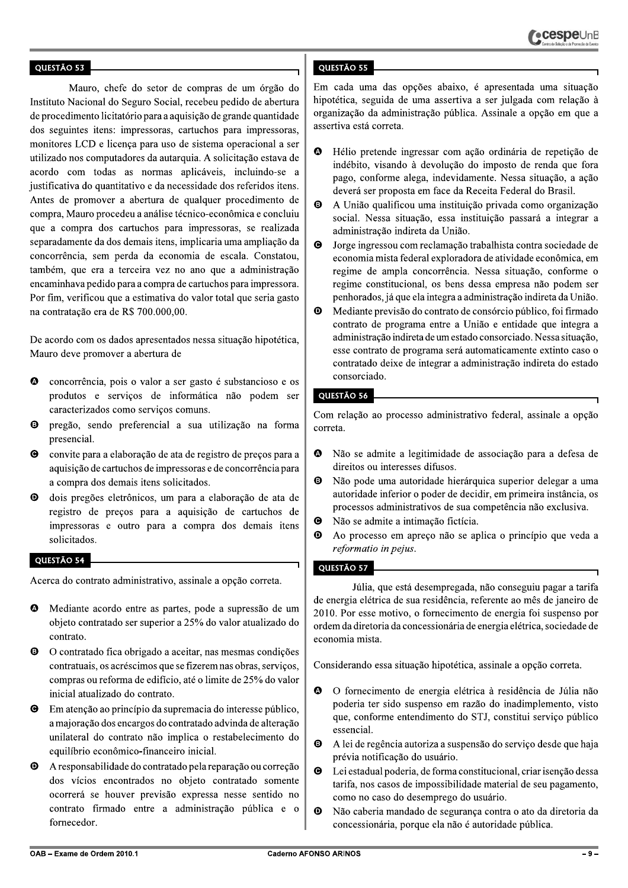Mauro, chefe do setor de compras de um órgão do Instituto Nacional do Seguro Social, recebeu pedido de abertura de procedimento licitatório para a aquisição de grande quantidade dos seguintes itens: impressoras, cartuchos para impressoras, monitores LCD e licença para uso de sistema operacional a ser utilizado nos computadores da autarquia. A solicitação estava de acordo com todas as normas aplicáveis, incluindo-se a justificativa do quantitativo e da necessidade dos referidos itens. Antes de promover a abertura de qualquer procedimento de compra, Mauro procedeu a análise técnico-econômica e concluiu que a compra dos cartuchos para impressoras, se realizada separadamente da dos demais itens, implicaria uma ampliação da concorrência, sem perda da economia de escala. Constatou, também, que era a terceira vez no ano que a administração encaminhava pedido para a compra de cartuchos para impressora. Por fim, verificou que a estimativa do valor total que seria gasto na contratação era de R\$ 700.000.00.

De acordo com os dados apresentados nessa situação hipotética, Mauro deve promover a abertura de

- $\bf{O}$ concorrência, pois o valor a ser gasto é substancioso e os produtos e serviços de informática não podem ser caracterizados como serviços comuns.
- $\boldsymbol{\Theta}$ pregão, sendo preferencial a sua utilização na forma presencial.
- ര convite para a elaboração de ata de registro de preços para a aquisição de cartuchos de impressoras e de concorrência para a compra dos demais itens solicitados.
- $\boldsymbol{\omega}$ dois pregões eletrônicos, um para a elaboração de ata de registro de preços para a aquisição de cartuchos de impressoras e outro para a compra dos demais itens solicitados.

## QUESTÃO 54

Acerca do contrato administrativo, assinale a opção correta.

- $\boldsymbol{\Omega}$ Mediante acordo entre as partes, pode a supressão de um objeto contratado ser superior a 25% do valor atualizado do contrato.
- O contratado fica obrigado a aceitar, nas mesmas condições A contratuais, os acréscimos que se fizerem nas obras, serviços, compras ou reforma de edifício, até o limite de 25% do valor inicial atualizado do contrato.
- $\bullet$ Em atenção ao princípio da supremacia do interesse público, a majoração dos encargos do contratado advinda de alteração unilateral do contrato não implica o restabelecimento do equilíbrio econômico-financeiro inicial.
- $\boldsymbol{\Theta}$ A responsabilidade do contratado pela reparação ou correção dos vícios encontrados no objeto contratado somente ocorrerá se houver previsão expressa nesse sentido no contrato firmado entre a administração pública e o fornecedor.

#### QUESTÃO 55

Em cada uma das opções abaixo, é apresentada uma situação hipotética, seguida de uma assertiva a ser julgada com relação à organização da administração pública. Assinale a opção em que a assertiva está correta.

- $\boldsymbol{\Omega}$ Hélio pretende ingressar com ação ordinária de repetição de indébito, visando à devolução do imposto de renda que fora pago, conforme alega, indevidamente. Nessa situação, a ação deverá ser proposta em face da Receita Federal do Brasil.
- A União qualificou uma instituição privada como organização social. Nessa situação, essa instituição passará a integrar a administração indireta da União.

 $\boldsymbol{\Theta}$ Jorge ingressou com reclamação trabalhista contra sociedade de economia mista federal exploradora de atividade econômica, em regime de ampla concorrência. Nessa situação, conforme o regime constitucional, os bens dessa empresa não podem ser penhorados, já que ela integra a administração indireta da União.

 $\boldsymbol{\Omega}$ Mediante previsão do contrato de consórcio público, foi firmado contrato de programa entre a União e entidade que integra a administração indireta de um estado consorciado. Nessa situação, esse contrato de programa será automaticamente extinto caso o contratado deixe de integrar a administração indireta do estado consorciado.

# QUESTÃO 56

Com relação ao processo administrativo federal, assinale a opção correta.

- Não se admite a legitimidade de associação para a defesa de  $\boldsymbol{\Omega}$ direitos ou interesses difusos.
- $\ddot{\mathbf{C}}$ Não pode uma autoridade hierárquica superior delegar a uma autoridade inferior o poder de decidir, em primeira instância, os processos administrativos de sua competência não exclusiva.
- $\boldsymbol{\Theta}$ Não se admite a intimação fictícia.
- ക Ao processo em apreço não se aplica o princípio que veda a reformatio in pejus.

## QUESTÃO 57

Júlia, que está desempregada, não conseguiu pagar a tarifa de energia elétrica de sua residência, referente ao mês de janeiro de 2010. Por esse motivo, o fornecimento de energia foi suspenso por ordem da diretoria da concessionária de energia elétrica, sociedade de economia mista.

Considerando essa situação hipotética, assinale a opção correta.

- O fornecimento de energia elétrica à residência de Júlia não poderia ter sido suspenso em razão do inadimplemento, visto que, conforme entendimento do STJ, constitui serviço público essencial.
- $\boldsymbol{\Theta}$ A lei de regência autoriza a suspensão do serviço desde que haja prévia notificação do usuário.
- $\ddot{\mathbf{e}}$ Lei estadual poderia, de forma constitucional, criar isenção dessa tarifa, nos casos de impossibilidade material de seu pagamento, como no caso do desemprego do usuário.
- $\boldsymbol{\Theta}$ Não caberia mandado de segurança contra o ato da diretoria da concessionária, porque ela não é autoridade pública.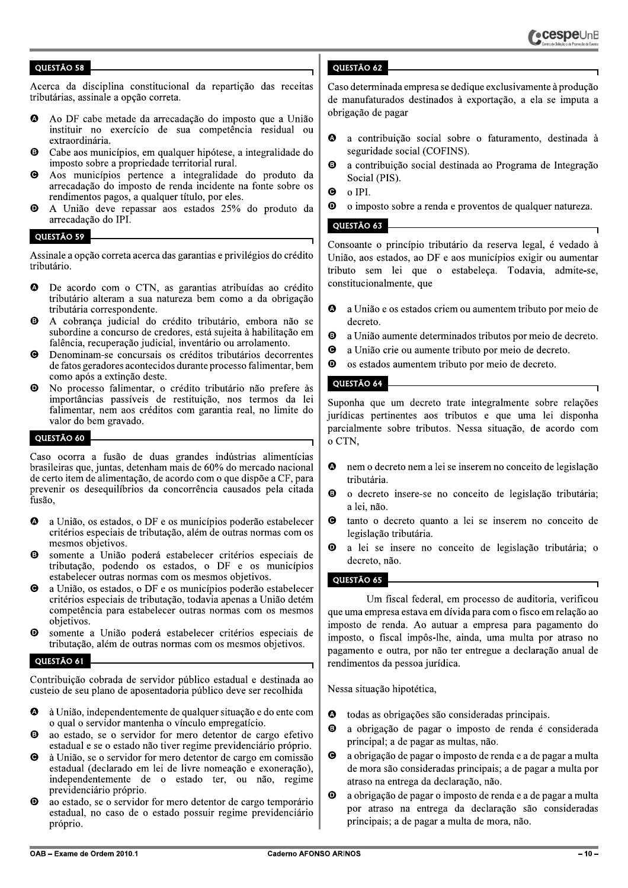Acerca da disciplina constitucional da repartição das receitas tributárias, assinale a opção correta.

- Ao DF cabe metade da arrecadação do imposto que a União ◐ instituir no exercício de sua competência residual ou extraordinária
- A Cabe aos municípios, em qualquer hipótese, a integralidade do imposto sobre a propriedade territorial rural.
- $\boldsymbol{\Theta}$ Aos municípios pertence a integralidade do produto da arrecadação do imposto de renda incidente na fonte sobre os rendimentos pagos, a qualquer título, por eles.
- A União deve repassar aos estados 25% do produto da  $\Omega$ arrecadação do IPI.

#### QUESTÃO 59

Assinale a opção correta acerca das garantias e privilégios do crédito tributário.

- $\Omega$ De acordo com o CTN, as garantias atribuídas ao crédito tributário alteram a sua natureza bem como a da obrigação tributária correspondente.
- $\boldsymbol{\Omega}$ A cobrança judicial do crédito tributário, embora não se subordine a concurso de credores, está sujeita à habilitação em falência, recuperação judicial, inventário ou arrolamento.
- $\Theta$ Denominam-se concursais os créditos tributários decorrentes de fatos geradores acontecidos durante processo falimentar, bem como após a extinção deste.
- No processo falimentar, o crédito tributário não prefere às  $\Omega$ importâncias passíveis de restituição, nos termos da lei falimentar, nem aos créditos com garantia real, no limite do valor do bem gravado.

#### QUESTÃO 60

Caso ocorra a fusão de duas grandes indústrias alimentícias brasileiras que, juntas, detenham mais de 60% do mercado nacional de certo item de alimentação, de acordo com o que dispõe a CF, para prevenir os desequilíbrios da concorrência causados pela citada fusão.

- $\bf{O}$ a União, os estados, o DF e os municípios poderão estabelecer critérios especiais de tributação, além de outras normas com os mesmos objetivos.
- $\boldsymbol{\Theta}$ somente a União poderá estabelecer critérios especiais de tributação, podendo os estados, o DF e os municípios estabelecer outras normas com os mesmos objetivos.
- Θ a União, os estados, o DF e os municípios poderão estabelecer critérios especiais de tributação, todavia apenas a União detém competência para estabelecer outras normas com os mesmos objetivos.
- $\mathbf 0$ somente a União poderá estabelecer critérios especiais de tributação, além de outras normas com os mesmos objetivos.

#### QUESTÃO 61

Contribuição cobrada de servidor público estadual e destinada ao custeio de seu plano de aposentadoria público deve ser recolhida

- $\boldsymbol{\Omega}$ à União, independentemente de qualquer situação e do ente com o qual o servidor mantenha o vínculo empregatício.
- $\odot$ ao estado, se o servidor for mero detentor de cargo efetivo estadual e se o estado não tiver regime previdenciário próprio.
- $\bullet$ à União, se o servidor for mero detentor de cargo em comissão estadual (declarado em lei de livre nomeação e exoneração), independentemente de o estado ter, ou não, regime previdenciário próprio.
- ao estado, se o servidor for mero detentor de cargo temporário ര estadual, no caso de o estado possuir regime previdenciário próprio.

## QUESTÃO 62

Caso determinada empresa se dedique exclusivamente à produção de manufaturados destinados à exportação, a ela se imputa a obrigação de pagar

- $\bullet$ a contribuição social sobre o faturamento, destinada à seguridade social (COFINS).
- $\boldsymbol{\Theta}$ a contribuição social destinada ao Programa de Integração Social (PIS).
- $\ddot{\mathbf{e}}$ o IPI.
- $\ddot{\mathbf{0}}$ o imposto sobre a renda e proventos de qualquer natureza.

#### QUESTÃO 63

Consoante o princípio tributário da reserva legal, é vedado à União, aos estados, ao DF e aos municípios exigir ou aumentar tributo sem lei que o estabeleça. Todavia, admite-se, constitucionalmente, que

- $\boldsymbol{\Omega}$ a União e os estados criem ou aumentem tributo por meio de decreto
- $\boldsymbol{\Theta}$ a União aumente determinados tributos por meio de decreto.
- $\boldsymbol{\Theta}$ a União crie ou aumente tributo por meio de decreto.
- $\boldsymbol{\Theta}$ os estados aumentem tributo por meio de decreto.

## QUESTÃO 64

Suponha que um decreto trate integralmente sobre relações jurídicas pertinentes aos tributos e que uma lei disponha parcialmente sobre tributos. Nessa situação, de acordo com o CTN.

- nem o decreto nem a lei se inserem no conceito de legislação  $\boldsymbol{\Omega}$ tributária.
- $\Omega$ o decreto insere-se no conceito de legislação tributária; a lei. não.
- $\boldsymbol{\Theta}$ tanto o decreto quanto a lei se inserem no conceito de legislação tributária.
- ര a lei se insere no conceito de legislação tributária; o decreto, não.

## QUESTÃO 65

Um fiscal federal, em processo de auditoria, verificou que uma empresa estava em dívida para com o fisco em relação ao imposto de renda. Ao autuar a empresa para pagamento do imposto, o fiscal impôs-lhe, ainda, uma multa por atraso no pagamento e outra, por não ter entregue a declaração anual de rendimentos da pessoa jurídica.

Nessa situação hipotética,

- $\boldsymbol{\Omega}$ todas as obrigações são consideradas principais.
- a obrigação de pagar o imposto de renda é considerada  $\bigcap$ principal; a de pagar as multas, não.
- $\Theta$ a obrigação de pagar o imposto de renda e a de pagar a multa de mora são consideradas principais; a de pagar a multa por atraso na entrega da declaração, não.
- $\bf \Theta$ a obrigação de pagar o imposto de renda e a de pagar a multa por atraso na entrega da declaração são consideradas principais; a de pagar a multa de mora, não.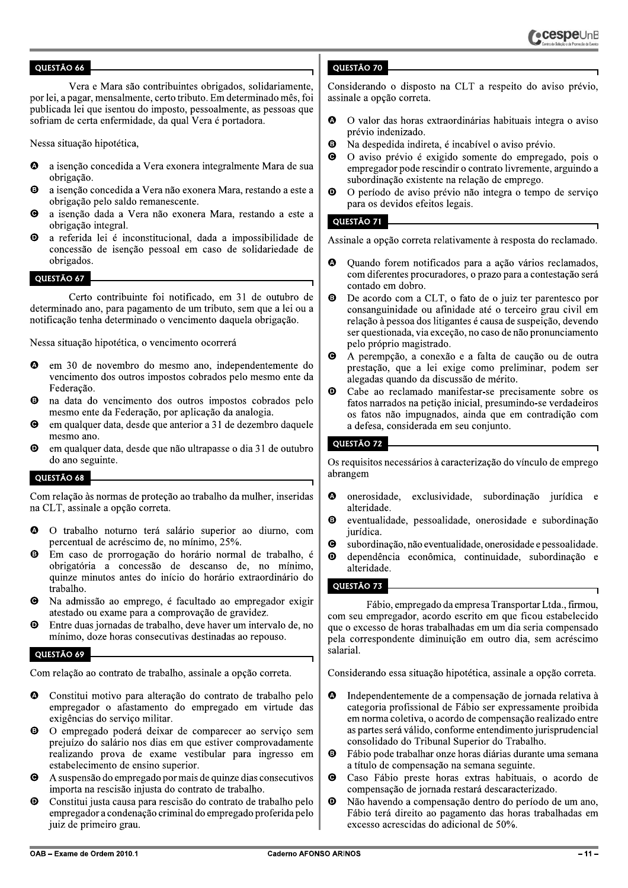Vera e Mara são contribuintes obrigados, solidariamente, por lei, a pagar, mensalmente, certo tributo. Em determinado mês, foi publicada lei que isentou do imposto, pessoalmente, as pessoas que sofriam de certa enfermidade, da qual Vera é portadora.

Nessa situação hipotética,

- Ω a isenção concedida a Vera exonera integralmente Mara de sua obrigação.
- $\boldsymbol{\Theta}$ a isenção concedida a Vera não exonera Mara, restando a este a obrigação pelo saldo remanescente.
- $\boldsymbol{\Theta}$ a isencão dada a Vera não exonera Mara, restando a este a obrigação integral.
- $\boldsymbol{\Theta}$ a referida lei é inconstitucional, dada a impossibilidade de concessão de isenção pessoal em caso de solidariedade de obrigados.

#### QUESTÃO 67

Certo contribuinte foi notificado, em 31 de outubro de determinado ano, para pagamento de um tributo, sem que a lei ou a notificação tenha determinado o vencimento daquela obrigação.

Nessa situação hipotética, o vencimento ocorrerá

- $\boldsymbol{\Omega}$ em 30 de novembro do mesmo ano, independentemente do vencimento dos outros impostos cobrados pelo mesmo ente da Federação.
- $\boldsymbol{\Theta}$ na data do vencimento dos outros impostos cobrados pelo mesmo ente da Federação, por aplicação da analogia.
- em qualquer data, desde que anterior a 31 de dezembro daquele ര mesmo ano.
- ക em qualquer data, desde que não ultrapasse o dia 31 de outubro do ano seguinte.

#### QUESTÃO 68

Com relação às normas de proteção ao trabalho da mulher, inseridas na CLT, assinale a opção correta.

- $\boldsymbol{\Omega}$ O trabalho noturno terá salário superior ao diurno, com percentual de acréscimo de, no mínimo, 25%.
- $\odot$ Em caso de prorrogação do horário normal de trabalho, é obrigatória a concessão de descanso de, no mínimo, quinze minutos antes do início do horário extraordinário do trabalho.
- Na admissão ao emprego, é facultado ao empregador exigir  $\boldsymbol{\Theta}$ atestado ou exame para a comprovação de gravidez.
- Entre duas iornadas de trabalho, deve haver um intervalo de, no ര mínimo, doze horas consecutivas destinadas ao repouso.

#### QUESTÃO 69

Com relação ao contrato de trabalho, assinale a opção correta.

- Constitui motivo para alteração do contrato de trabalho pelo Ω empregador o afastamento do empregado em virtude das exigências do serviço militar.
- $\odot$ O empregado poderá deixar de comparecer ao serviço sem prejuízo do salário nos dias em que estiver comprovadamente realizando prova de exame vestibular para ingresso em estabelecimento de ensino superior.
- A suspensão do empregado por mais de quinze dias consecutivos ര importa na rescisão injusta do contrato de trabalho.
- $\boldsymbol{\Theta}$ Constitui justa causa para rescisão do contrato de trabalho pelo empregador a condenação criminal do empregado proferida pelo juiz de primeiro grau.

## QUESTÃO 70

Considerando o disposto na CLT a respeito do aviso prévio, assinale a opção correta.

- $\Omega$ O valor das horas extraordinárias habituais integra o aviso prévio indenizado.
- $\ddot{\bm{\Theta}}$ Na despedida indireta, é incabível o aviso prévio.
- $\ddot{\mathbf{e}}$ O aviso prévio é exigido somente do empregado, pois o empregador pode rescindir o contrato livremente, arguindo a subordinação existente na relação de emprego.
- ക O período de aviso prévio não integra o tempo de servico para os devidos efeitos legais.

#### QUESTÃO 71

Assinale a opção correta relativamente à resposta do reclamado.

- Q Quando forem notificados para a ação vários reclamados, com diferentes procuradores, o prazo para a contestação será contado em dobro.
- $\ddot{\mathbf{e}}$ De acordo com a CLT, o fato de o juiz ter parentesco por consanguinidade ou afinidade até o terceiro grau civil em relação à pessoa dos litigantes é causa de suspeição, devendo ser questionada, via exceção, no caso de não pronunciamento pelo próprio magistrado.
- $\ddot{\mathbf{e}}$ A perempção, a conexão e a falta de caução ou de outra prestação, que a lei exige como preliminar, podem ser alegadas quando da discussão de mérito.
- ⋒ Cabe ao reclamado manifestar-se precisamente sobre os fatos narrados na petição inicial, presumindo-se verdadeiros os fatos não impugnados, ainda que em contradição com a defesa, considerada em seu conjunto.

## QUESTÃO 72

Os requisitos necessários à caracterização do vínculo de emprego abrangem

- $\boldsymbol{\Omega}$ onerosidade, exclusividade, subordinação jurídica e alteridade.
- $\ddot{\mathbf{e}}$ eventualidade, pessoalidade, onerosidade e subordinação jurídica.
- $\bullet$ subordinação, não eventualidade, onerosidade e pessoalidade.
- $\boldsymbol{\omega}$ dependência econômica, continuidade, subordinação e alteridade.

#### QUESTÃO 73

Fábio, empregado da empresa Transportar Ltda., firmou, com seu empregador, acordo escrito em que ficou estabelecido que o excesso de horas trabalhadas em um dia seria compensado pela correspondente diminuição em outro dia, sem acréscimo salarial.

Considerando essa situação hipotética, assinale a opção correta.

- Independentemente de a compensação de jornada relativa à Ω categoria profissional de Fábio ser expressamente proibida em norma coletiva, o acordo de compensação realizado entre as partes será válido, conforme entendimento jurisprudencial consolidado do Tribunal Superior do Trabalho.
- $\boldsymbol{\Theta}$ Fábio pode trabalhar onze horas diárias durante uma semana a título de compensação na semana seguinte.
- $\boldsymbol{\Theta}$ Caso Fábio preste horas extras habituais, o acordo de compensação de jornada restará descaracterizado.
- $\boldsymbol{\Theta}$ Não havendo a compensação dentro do período de um ano, Fábio terá direito ao pagamento das horas trabalhadas em excesso acrescidas do adicional de 50%.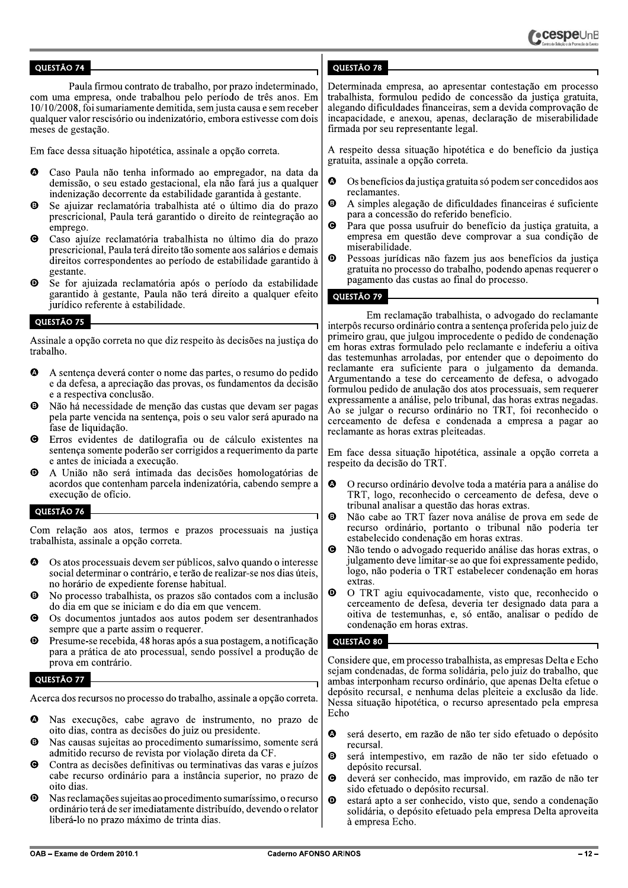Paula firmou contrato de trabalho, por prazo indeterminado, com uma empresa, onde trabalhou pelo período de três anos. Em 10/10/2008, foi sumariamente demitida, sem justa causa e sem receber qualquer valor rescisório ou indenizatório, embora estivesse com dois meses de gestação.

Em face dessa situação hipotética, assinale a opção correta.

- $\bullet$ Caso Paula não tenha informado ao empregador, na data da demissão, o seu estado gestacional, ela não fará jus a qualquer indenização decorrente da estabilidade garantida à gestante.
- Θ Se ajuizar reclamatória trabalhista até o último dia do prazo prescricional, Paula terá garantido o direito de reintegração ao emprego.
- ര Caso ajuíze reclamatória trabalhista no último dia do prazo prescricional, Paula terá direito tão somente aos salários e demais direitos correspondentes ao período de estabilidade garantido à gestante.
- $\boldsymbol{\Omega}$ Se for ajuizada reclamatória após o período da estabilidade garantido à gestante, Paula não terá direito a qualquer efeito jurídico referente à estabilidade.

#### QUESTÃO 75

Assinale a opção correta no que diz respeito às decisões na justiça do trabalho.

- Ø A sentença deverá conter o nome das partes, o resumo do pedido e da defesa, a apreciação das provas, os fundamentos da decisão e a respectiva conclusão.
- Θ Não há necessidade de menção das custas que devam ser pagas pela parte vencida na sentença, pois o seu valor será apurado na fase de liquidação.
- Erros evidentes de datilografia ou de cálculo existentes na ൙ sentença somente poderão ser corrigidos a requerimento da parte e antes de iniciada a execução.
- $\boldsymbol{\Theta}$ A União não será intimada das decisões homologatórias de acordos que contenham parcela indenizatória, cabendo sempre a execução de ofício.

#### QUESTÃO 76

Com relação aos atos, termos e prazos processuais na justiça trabalhista, assinale a opção correta.

- $\boldsymbol{\Omega}$ Os atos processuais devem ser públicos, salvo quando o interesse social determinar o contrário, e terão de realizar-se nos dias úteis, no horário de expediente forense habitual.
- Θ No processo trabalhista, os prazos são contados com a inclusão do dia em que se iniciam e do dia em que vencem.
- $\boldsymbol{\Theta}$ Os documentos juntados aos autos podem ser desentranhados sempre que a parte assim o requerer.
- $\Omega$ Presume-se recebida, 48 horas após a sua postagem, a notificação para a prática de ato processual, sendo possível a produção de prova em contrário.

#### QUESTÃO 77

Acerca dos recursos no processo do trabalho, assinale a opção correta.

- Nas execuções, cabe agravo de instrumento, no prazo de oito dias, contra as decisões do juiz ou presidente.
- Θ Nas causas sujeitas ao procedimento sumaríssimo, somente será admitido recurso de revista por violação direta da CF.
- $\boldsymbol{\Theta}$ Contra as decisões definitivas ou terminativas das varas e juízos cabe recurso ordinário para a instância superior, no prazo de oito dias.
- ക Nas reclamações sujeitas ao procedimento sumaríssimo, o recurso ordinário terá de ser imediatamente distribuído, devendo o relator liberá-lo no prazo máximo de trinta dias.

## QUESTÃO 78

Determinada empresa, ao apresentar contestação em processo trabalhista, formulou pedido de concessão da justiça gratuita, alegando dificuldades financeiras, sem a devida comprovação de incapacidade, e anexou, apenas, declaração de miserabilidade firmada por seu representante legal.

A respeito dessa situação hipotética e do benefício da justiça gratuita, assinale a opção correta.

- $\boldsymbol{\Omega}$ Os benefícios da justiça gratuita só podem ser concedidos aos reclamantes.
- $\odot$ A simples alegação de dificuldades financeiras é suficiente para a concessão do referido benefício.
- $\boldsymbol{\Theta}$ Para que possa usufruir do benefício da justica gratuita, a empresa em questão deve comprovar a sua condição de miserabilidade.
- $\boldsymbol{\Theta}$ Pessoas jurídicas não fazem jus aos benefícios da justiça gratuita no processo do trabalho, podendo apenas requerer o pagamento das custas ao final do processo.

#### QUESTÃO 79

Em reclamação trabalhista, o advogado do reclamante interpôs recurso ordinário contra a sentença proferida pelo juiz de primeiro grau, que julgou improcedente o pedido de condenação em horas extras formulado pelo reclamante e indeferiu a oitiva das testemunhas arroladas, por entender que o depoimento do reclamante era suficiente para o julgamento da demanda. Argumentando a tese do cerceamento de defesa, o advogado formulou pedido de anulação dos atos processuais, sem requerer expressamente a análise, pelo tribunal, das horas extras negadas. Ao se julgar o recurso ordinário no TRT, foi reconhecido o cerceamento de defesa e condenada a empresa a pagar ao reclamante as horas extras pleiteadas.

Em face dessa situação hipotética, assinale a opção correta a respeito da decisão do TRT.

- $\boldsymbol{\Omega}$ O recurso ordinário devolve toda a matéria para a análise do TRT, logo, reconhecido o cerceamento de defesa, deve o tribunal analisar a questão das horas extras.
- $\Omega$ Não cabe ao TRT fazer nova análise de prova em sede de recurso ordinário, portanto o tribunal não poderia ter estabelecido condenação em horas extras.
- $\bullet$ Não tendo o advogado requerido análise das horas extras, o julgamento deve limitar-se ao que foi expressamente pedido, logo, não poderia o TRT estabelecer condenação em horas extras.
- $\boldsymbol{\Theta}$ O TRT agiu equivocadamente, visto que, reconhecido o cerceamento de defesa, deveria ter designado data para a oitiva de testemunhas, e, só então, analisar o pedido de condenação em horas extras.

#### QUESTÃO 80

Considere que, em processo trabalhista, as empresas Delta e Echo sejam condenadas, de forma solidária, pelo juiz do trabalho, que ambas interponham recurso ordinário, que apenas Delta efetue o depósito recursal, e nenhuma delas pleiteie a exclusão da lide. Nessa situação hipotética, o recurso apresentado pela empresa Echo

- $\bullet$ será deserto, em razão de não ter sido efetuado o depósito recursal.
- $\odot$ será intempestivo, em razão de não ter sido efetuado o depósito recursal.
- $\Theta$ deverá ser conhecido, mas improvido, em razão de não ter sido efetuado o depósito recursal.
- $\boldsymbol{\omega}$ estará apto a ser conhecido, visto que, sendo a condenação solidária, o depósito efetuado pela empresa Delta aproveita à empresa Echo.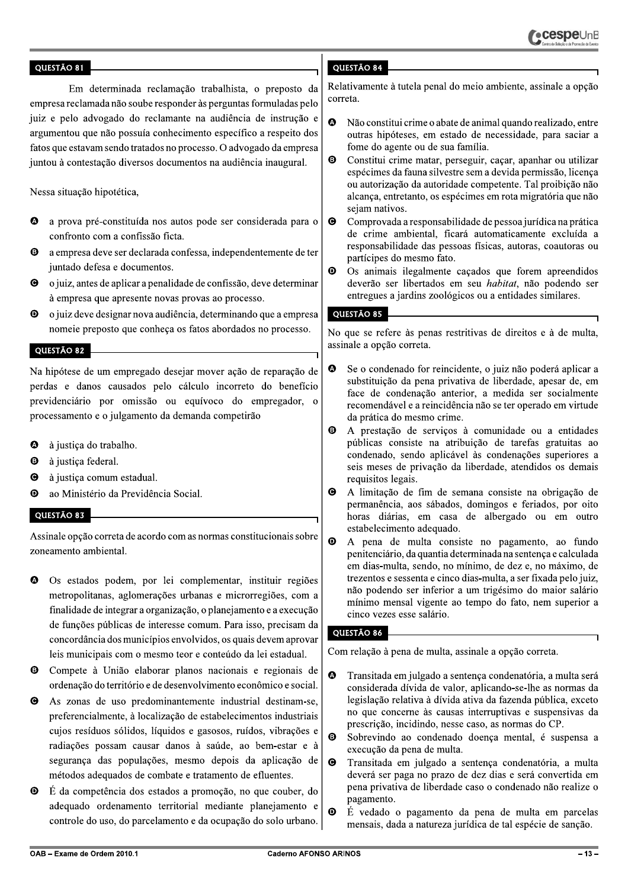Em determinada reclamação trabalhista, o preposto da empresa reclamada não soube responder às perguntas formuladas pelo juiz e pelo advogado do reclamante na audiência de instrução e argumentou que não possuía conhecimento específico a respeito dos fatos que estavam sendo tratados no processo. O advogado da empresa juntou à contestação diversos documentos na audiência inaugural.

Nessa situação hipotética,

- a prova pré-constituída nos autos pode ser considerada para o  $\boldsymbol{\Omega}$ confronto com a confissão ficta.
- a empresa deve ser declarada confessa, independentemente de ter  $\Omega$ juntado defesa e documentos.
- $\bullet$ o juiz, antes de aplicar a penalidade de confissão, deve determinar à empresa que apresente novas provas ao processo.
- o juiz deve designar nova audiência, determinando que a empresa ⋒ nomeie preposto que conheça os fatos abordados no processo.

#### QUESTÃO 82

Na hipótese de um empregado desejar mover ação de reparação de perdas e danos causados pelo cálculo incorreto do benefício previdenciário por omissão ou equívoco do empregador, o processamento e o julgamento da demanda competirão

- à justiça do trabalho.  $\Omega$
- $\boldsymbol{\Theta}$ à justiça federal.
- $\bullet$ à justica comum estadual.
- ao Ministério da Previdência Social. ൈ

#### QUESTÃO 83

Assinale opção correta de acordo com as normas constitucionais sobre zoneamento ambiental.

- $\bullet$ Os estados podem, por lei complementar, instituir regiões metropolitanas, aglomerações urbanas e microrregiões, com a finalidade de integrar a organização, o planejamento e a execução de funções públicas de interesse comum. Para isso, precisam da concordância dos municípios envolvidos, os quais devem aprovar leis municipais com o mesmo teor e conteúdo da lei estadual.
- Compete à União elaborar planos nacionais e regionais de  $\Omega$ ordenação do território e de desenvolvimento econômico e social.
- $\Theta$ As zonas de uso predominantemente industrial destinam-se, preferencialmente, à localização de estabelecimentos industriais cujos resíduos sólidos, líquidos e gasosos, ruídos, vibrações e radiações possam causar danos à saúde, ao bem-estar e à segurança das populações, mesmo depois da aplicação de métodos adequados de combate e tratamento de efluentes.
- $\boldsymbol{\Theta}$ É da competência dos estados a promoção, no que couber, do adequado ordenamento territorial mediante planejamento e controle do uso, do parcelamento e da ocupação do solo urbano.

#### **QUESTÃO 84**

Relativamente à tutela penal do meio ambiente, assinale a opção correta.

- $\Omega$ Não constitui crime o abate de animal quando realizado, entre outras hipóteses, em estado de necessidade, para saciar a fome do agente ou de sua família.
- $\boldsymbol{\Theta}$ Constitui crime matar, perseguir, caçar, apanhar ou utilizar espécimes da fauna silvestre sem a devida permissão, licença ou autorização da autoridade competente. Tal proibição não alcança, entretanto, os espécimes em rota migratória que não sejam nativos.
- $\boldsymbol{\Theta}$ Comprovada a responsabilidade de pessoa jurídica na prática de crime ambiental, ficará automaticamente excluída a responsabilidade das pessoas físicas, autoras, coautoras ou partícipes do mesmo fato.
- Os animais ilegalmente caçados que forem apreendidos  $\boldsymbol{\Theta}$ deverão ser libertados em seu habitat, não podendo ser entregues a jardins zoológicos ou a entidades similares.

## QUESTÃO 85

No que se refere às penas restritivas de direitos e à de multa, assinale a opção correta.

- Se o condenado for reincidente, o juiz não poderá aplicar a  $\boldsymbol{\Omega}$ substituição da pena privativa de liberdade, apesar de, em face de condenação anterior, a medida ser socialmente recomendável e a reincidência não se ter operado em virtude da prática do mesmo crime.
- $\bullet$ A prestação de serviços à comunidade ou a entidades públicas consiste na atribuição de tarefas gratuitas ao condenado, sendo aplicável às condenações superiores a seis meses de privação da liberdade, atendidos os demais requisitos legais.
- $\bullet$ A limitação de fim de semana consiste na obrigação de permanência, aos sábados, domingos e feriados, por oito horas diárias, em casa de albergado ou em outro estabelecimento adequado.
- ക A pena de multa consiste no pagamento, ao fundo penitenciário, da quantia determinada na sentença e calculada em dias-multa, sendo, no mínimo, de dez e, no máximo, de trezentos e sessenta e cinco dias-multa, a ser fixada pelo juiz, não podendo ser inferior a um trigésimo do maior salário mínimo mensal vigente ao tempo do fato, nem superior a cinco vezes esse salário.

#### QUESTÃO 86

Com relação à pena de multa, assinale a opção correta.

- Transitada em julgado a sentença condenatória, a multa será considerada dívida de valor, aplicando-se-lhe as normas da legislação relativa à dívida ativa da fazenda pública, exceto no que concerne às causas interruptivas e suspensivas da prescrição, incidindo, nesse caso, as normas do CP.
- $\Omega$ Sobrevindo ao condenado doenca mental, é suspensa a execução da pena de multa.
- $\Theta$ Transitada em julgado a sentença condenatória, a multa deverá ser paga no prazo de dez dias e será convertida em pena privativa de liberdade caso o condenado não realize o pagamento.
- $\Omega$ É vedado o pagamento da pena de multa em parcelas mensais, dada a natureza jurídica de tal espécie de sanção.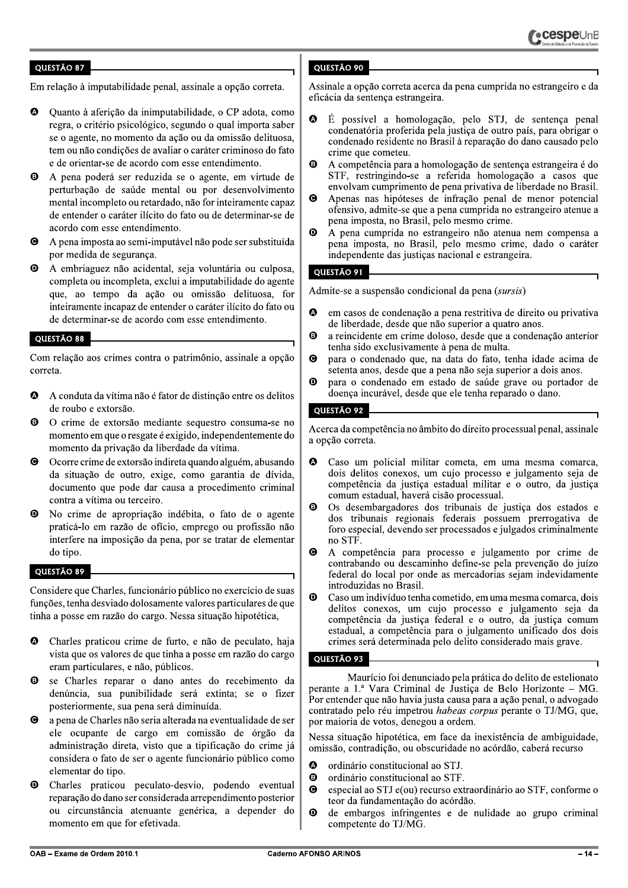Em relação à imputabilidade penal, assinale a opção correta.

- $\boldsymbol{\Omega}$ Quanto à aferição da inimputabilidade, o CP adota, como regra, o critério psicológico, segundo o qual importa saber se o agente, no momento da ação ou da omissão delituosa, tem ou não condições de avaliar o caráter criminoso do fato e de orientar-se de acordo com esse entendimento.
- $\odot$ A pena poderá ser reduzida se o agente, em virtude de perturbação de saúde mental ou por desenvolvimento mental incompleto ou retardado, não for inteiramente capaz de entender o caráter ilícito do fato ou de determinar-se de acordo com esse entendimento.
- $\Theta$ A pena imposta ao semi-imputável não pode ser substituída por medida de segurança.
- $\Omega$ A embriaguez não acidental, seja voluntária ou culposa, completa ou incompleta, exclui a imputabilidade do agente que, ao tempo da ação ou omissão delituosa, for inteiramente incapaz de entender o caráter ilícito do fato ou de determinar-se de acordo com esse entendimento.

#### QUESTÃO 88

Com relação aos crimes contra o patrimônio, assinale a opção correta.

- $\bf{O}$ A conduta da vítima não é fator de distinção entre os delitos de roubo e extorsão.
- A O crime de extorsão mediante sequestro consuma-se no momento em que o resgate é exigido, independentemente do momento da privação da liberdade da vítima.
- $\bullet$ Ocorre crime de extorsão indireta quando alguém, abusando da situação de outro, exige, como garantia de dívida, documento que pode dar causa a procedimento criminal contra a vítima ou terceiro.
- $\bf \Theta$ No crime de apropriação indébita, o fato de o agente praticá-lo em razão de ofício, emprego ou profissão não interfere na imposição da pena, por se tratar de elementar do tipo.

## QUESTÃO 89

Considere que Charles, funcionário público no exercício de suas funções, tenha desviado dolosamente valores particulares de que tinha a posse em razão do cargo. Nessa situação hipotética,

- $\Omega$ Charles praticou crime de furto, e não de peculato, haja vista que os valores de que tinha a posse em razão do cargo eram particulares, e não, públicos.
- $\boldsymbol{\Theta}$ se Charles reparar o dano antes do recebimento da denúncia, sua punibilidade será extinta; se o fizer posteriormente, sua pena será diminuída.
- $\bullet$ a pena de Charles não seria alterada na eventualidade de ser ele ocupante de cargo em comissão de órgão da administração direta, visto que a tipificação do crime já considera o fato de ser o agente funcionário público como elementar do tipo.
- ക Charles praticou peculato-desvio, podendo eventual reparação do dano ser considerada arrependimento posterior ou circunstância atenuante genérica, a depender do momento em que for efetivada.

## **QUESTÃO 90**

Assinale a opção correta acerca da pena cumprida no estrangeiro e da eficácia da sentença estrangeira.

- $\Omega$ É possível a homologação, pelo STJ, de sentença penal condenatória proferida pela justica de outro país, para obrigar o condenado residente no Brasil à reparação do dano causado pelo crime que cometeu.
- Θ A competência para a homologação de sentença estrangeira é do STF, restringindo-se a referida homologação a casos que envolvam cumprimento de pena privativa de liberdade no Brasil.
- $\bullet$ Apenas nas hipóteses de infração penal de menor potencial ofensivo, admite-se que a pena cumprida no estrangeiro atenue a pena imposta, no Brasil, pelo mesmo crime.
- ⋒ A pena cumprida no estrangeiro não atenua nem compensa a pena imposta, no Brasil, pelo mesmo crime, dado o caráter independente das justiças nacional e estrangeira.

## QUESTÃO 91

Admite-se a suspensão condicional da pena (sursis)

- $\bullet$ em casos de condenação a pena restritiva de direito ou privativa de liberdade, desde que não superior a quatro anos.
- Θ a reincidente em crime doloso, desde que a condenação anterior tenha sido exclusivamente à pena de multa.
- $\boldsymbol{\Theta}$ para o condenado que, na data do fato, tenha idade acima de setenta anos, desde que a pena não seja superior a dois anos.
- ⋒ para o condenado em estado de saúde grave ou portador de doença incurável, desde que ele tenha reparado o dano.

# QUESTÃO 92

Acerca da competência no âmbito do direito processual penal, assinale a opção correta.

- Ω Caso um policial militar cometa, em uma mesma comarca, dois delitos conexos, um cujo processo e julgamento seja de competência da justiça estadual militar e o outro, da justiça comum estadual, haverá cisão processual.
- Os desembargadores dos tribunais de justiça dos estados e  $\ddot{\mathbf{e}}$ dos tribunais regionais federais possuem prerrogativa de foro especial, devendo ser processados e julgados criminalmente no STF.
- $\boldsymbol{\Theta}$ A competência para processo e julgamento por crime de contrabando ou descaminho define-se pela prevenção do juízo federal do local por onde as mercadorias seiam indevidamente introduzidas no Brasil.
- ക Caso um indivíduo tenha cometido, em uma mesma comarca, dois delitos conexos, um cujo processo e julgamento seja da competência da justica federal e o outro, da justica comum estadual, a competência para o julgamento unificado dos dois crimes será determinada pelo delito considerado mais grave.

## QUESTÃO 93

Maurício foi denunciado pela prática do delito de estelionato perante a 1.ª Vara Criminal de Justiça de Belo Horizonte - MG. Por entender que não havia justa causa para a ação penal, o advogado contratado pelo réu impetrou *habeas corpus* perante o TJ/MG, que, por maioria de votos, denegou a ordem.

Nessa situação hipotética, em face da inexistência de ambiguidade, omissão, contradição, ou obscuridade no acórdão, caberá recurso

- $\bullet$ ordinário constitucional ao STJ.
- $\boldsymbol{\Theta}$ ordinário constitucional ao STF.
- $\Theta$ especial ao STJ e(ou) recurso extraordinário ao STF, conforme o teor da fundamentação do acórdão.
- $\boldsymbol{\Theta}$ de embargos infringentes e de nulidade ao grupo criminal competente do TJ/MG.